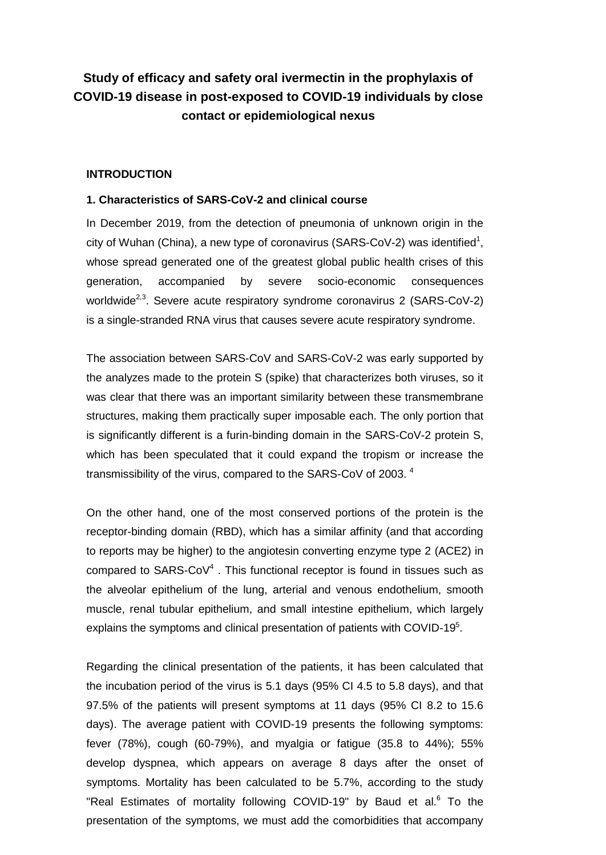# **Study of efficacy and safety oral ivermectin in the prophylaxis of COVID-19 disease in post-exposed to COVID-19 individuals by close contact or epidemiological nexus**

## **INTRODUCTION**

### **1. Characteristics of SARS-CoV-2 and clinical course**

In December 2019, from the detection of pneumonia of unknown origin in the city of Wuhan (China), a new type of coronavirus (SARS-CoV-2) was identified<sup>1</sup>, whose spread generated one of the greatest global public health crises of this generation, accompanied by severe socio-economic consequences worldwide<sup>2,3</sup>. Severe acute respiratory syndrome coronavirus 2 (SARS-CoV-2) is a single-stranded RNA virus that causes severe acute respiratory syndrome.

The association between SARS-CoV and SARS-CoV-2 was early supported by the analyzes made to the protein S (spike) that characterizes both viruses, so it was clear that there was an important similarity between these transmembrane structures, making them practically super imposable each. The only portion that is significantly different is a furin-binding domain in the SARS-CoV-2 protein S, which has been speculated that it could expand the tropism or increase the transmissibility of the virus, compared to the SARS-CoV of 2003.  $^4$ 

On the other hand, one of the most conserved portions of the protein is the receptor-binding domain (RBD), which has a similar affinity (and that according to reports may be higher) to the angiotesin converting enzyme type 2 (ACE2) in compared to  $SARS-CoV<sup>4</sup>$ . This functional receptor is found in tissues such as the alveolar epithelium of the lung, arterial and venous endothelium, smooth muscle, renal tubular epithelium, and small intestine epithelium, which largely explains the symptoms and clinical presentation of patients with COVID-19 $5$ .

Regarding the clinical presentation of the patients, it has been calculated that the incubation period of the virus is 5.1 days (95% CI 4.5 to 5.8 days), and that 97.5% of the patients will present symptoms at 11 days (95% CI 8.2 to 15.6 days). The average patient with COVID-19 presents the following symptoms: fever (78%), cough (60-79%), and myalgia or fatigue (35.8 to 44%); 55% develop dyspnea, which appears on average 8 days after the onset of symptoms. Mortality has been calculated to be 5.7%, according to the study "Real Estimates of mortality following COVID-19" by Baud et al. $6$  To the presentation of the symptoms, we must add the comorbidities that accompany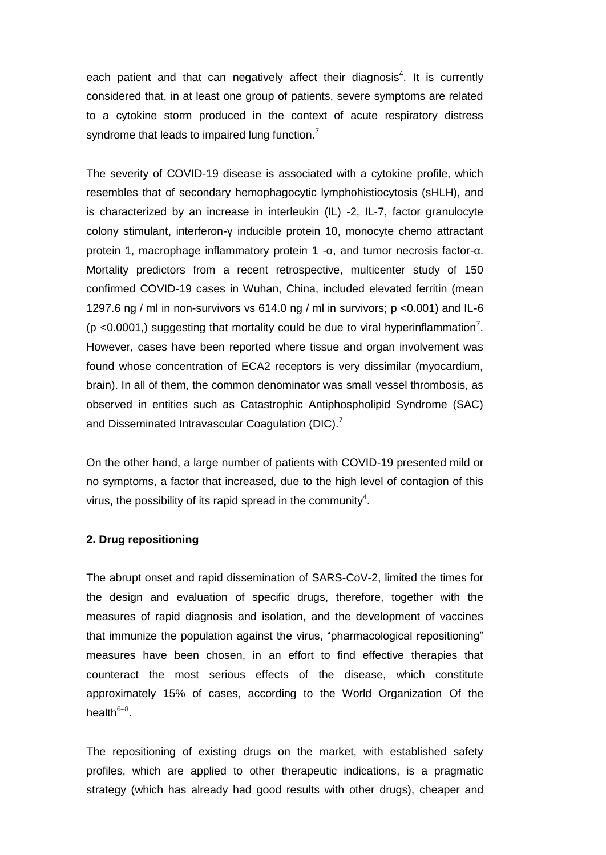each patient and that can negatively affect their diagnosis<sup>4</sup>. It is currently considered that, in at least one group of patients, severe symptoms are related to a cytokine storm produced in the context of acute respiratory distress syndrome that leads to impaired lung function.<sup>7</sup>

The severity of COVID-19 disease is associated with a cytokine profile, which resembles that of secondary hemophagocytic lymphohistiocytosis (sHLH), and is characterized by an increase in interleukin (IL) -2, IL-7, factor granulocyte colony stimulant, interferon-γ inducible protein 10, monocyte chemo attractant protein 1, macrophage inflammatory protein 1 -α, and tumor necrosis factor-α. Mortality predictors from a recent retrospective, multicenter study of 150 confirmed COVID-19 cases in Wuhan, China, included elevated ferritin (mean 1297.6 ng / ml in non-survivors vs 614.0 ng / ml in survivors; p <0.001) and IL-6 ( $p$  <0.0001,) suggesting that mortality could be due to viral hyperinflammation<sup>7</sup>. However, cases have been reported where tissue and organ involvement was found whose concentration of ECA2 receptors is very dissimilar (myocardium, brain). In all of them, the common denominator was small vessel thrombosis, as observed in entities such as Catastrophic Antiphospholipid Syndrome (SAC) and Disseminated Intravascular Coagulation (DIC).<sup>7</sup>

On the other hand, a large number of patients with COVID-19 presented mild or no symptoms, a factor that increased, due to the high level of contagion of this virus, the possibility of its rapid spread in the community<sup>4</sup>.

### **2. Drug repositioning**

The abrupt onset and rapid dissemination of SARS-CoV-2, limited the times for the design and evaluation of specific drugs, therefore, together with the measures of rapid diagnosis and isolation, and the development of vaccines that immunize the population against the virus, "pharmacological repositioning" measures have been chosen, in an effort to find effective therapies that counteract the most serious effects of the disease, which constitute approximately 15% of cases, according to the World Organization Of the health<sup>6–8</sup>.

The repositioning of existing drugs on the market, with established safety profiles, which are applied to other therapeutic indications, is a pragmatic strategy (which has already had good results with other drugs), cheaper and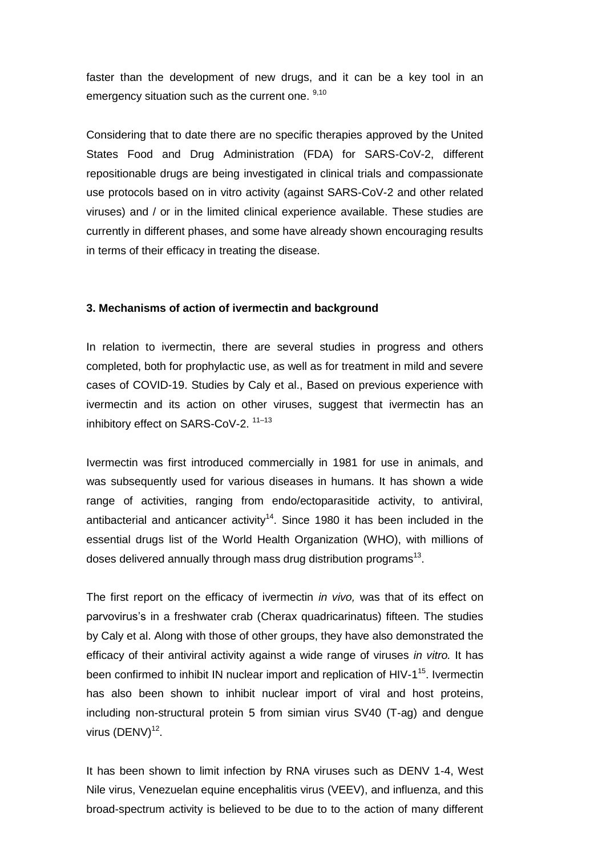faster than the development of new drugs, and it can be a key tool in an emergency situation such as the current one. 9,10

Considering that to date there are no specific therapies approved by the United States Food and Drug Administration (FDA) for SARS-CoV-2, different repositionable drugs are being investigated in clinical trials and compassionate use protocols based on in vitro activity (against SARS-CoV-2 and other related viruses) and / or in the limited clinical experience available. These studies are currently in different phases, and some have already shown encouraging results in terms of their efficacy in treating the disease.

#### **3. Mechanisms of action of ivermectin and background**

In relation to ivermectin, there are several studies in progress and others completed, both for prophylactic use, as well as for treatment in mild and severe cases of COVID-19. Studies by Caly et al., Based on previous experience with ivermectin and its action on other viruses, suggest that ivermectin has an inhibitory effect on SARS-CoV-2.<sup>11-13</sup>

Ivermectin was first introduced commercially in 1981 for use in animals, and was subsequently used for various diseases in humans. It has shown a wide range of activities, ranging from endo/ectoparasitide activity, to antiviral, antibacterial and anticancer activity<sup>14</sup>. Since 1980 it has been included in the essential drugs list of the World Health Organization (WHO), with millions of doses delivered annually through mass drug distribution programs $^{13}$ .

The first report on the efficacy of ivermectin *in vivo,* was that of its effect on parvovirus's in a freshwater crab (Cherax quadricarinatus) fifteen. The studies by Caly et al. Along with those of other groups, they have also demonstrated the efficacy of their antiviral activity against a wide range of viruses *in vitro.* It has been confirmed to inhibit IN nuclear import and replication of HIV-1<sup>15</sup>. Ivermectin has also been shown to inhibit nuclear import of viral and host proteins, including non-structural protein 5 from simian virus SV40 (T-ag) and dengue virus  $(DENV)^{12}$ .

It has been shown to limit infection by RNA viruses such as DENV 1-4, West Nile virus, Venezuelan equine encephalitis virus (VEEV), and influenza, and this broad-spectrum activity is believed to be due to to the action of many different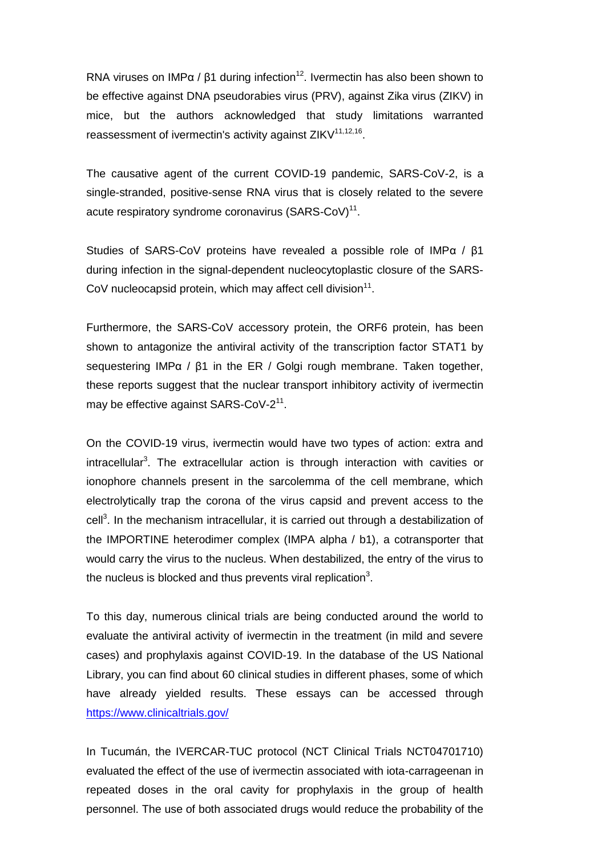RNA viruses on IMP $\alpha$  /  $\beta$ 1 during infection<sup>12</sup>. Ivermectin has also been shown to be effective against DNA pseudorabies virus (PRV), against Zika virus (ZIKV) in mice, but the authors acknowledged that study limitations warranted reassessment of ivermectin's activity against  $ZIKV^{11,12,16}$ .

The causative agent of the current COVID-19 pandemic, SARS-CoV-2, is a single-stranded, positive-sense RNA virus that is closely related to the severe acute respiratory syndrome coronavirus (SARS-CoV)<sup>11</sup>.

Studies of SARS-CoV proteins have revealed a possible role of IMPα / β1 during infection in the signal-dependent nucleocytoplastic closure of the SARS-CoV nucleocapsid protein, which may affect cell division $11$ .

Furthermore, the SARS-CoV accessory protein, the ORF6 protein, has been shown to antagonize the antiviral activity of the transcription factor STAT1 by sequestering IMPα / β1 in the ER / Golgi rough membrane. Taken together, these reports suggest that the nuclear transport inhibitory activity of ivermectin may be effective against SARS-CoV-2<sup>11</sup>.

On the COVID-19 virus, ivermectin would have two types of action: extra and intracellular<sup>3</sup>. The extracellular action is through interaction with cavities or ionophore channels present in the sarcolemma of the cell membrane, which electrolytically trap the corona of the virus capsid and prevent access to the cell<sup>3</sup>. In the mechanism intracellular, it is carried out through a destabilization of the IMPORTINE heterodimer complex (IMPA alpha / b1), a cotransporter that would carry the virus to the nucleus. When destabilized, the entry of the virus to the nucleus is blocked and thus prevents viral replication<sup>3</sup>.

To this day, numerous clinical trials are being conducted around the world to evaluate the antiviral activity of ivermectin in the treatment (in mild and severe cases) and prophylaxis against COVID-19. In the database of the US National Library, you can find about 60 clinical studies in different phases, some of which have already yielded results. These essays can be accessed through <https://www.clinicaltrials.gov/>

In Tucumán, the IVERCAR-TUC protocol (NCT Clinical Trials NCT04701710) evaluated the effect of the use of ivermectin associated with iota-carrageenan in repeated doses in the oral cavity for prophylaxis in the group of health personnel. The use of both associated drugs would reduce the probability of the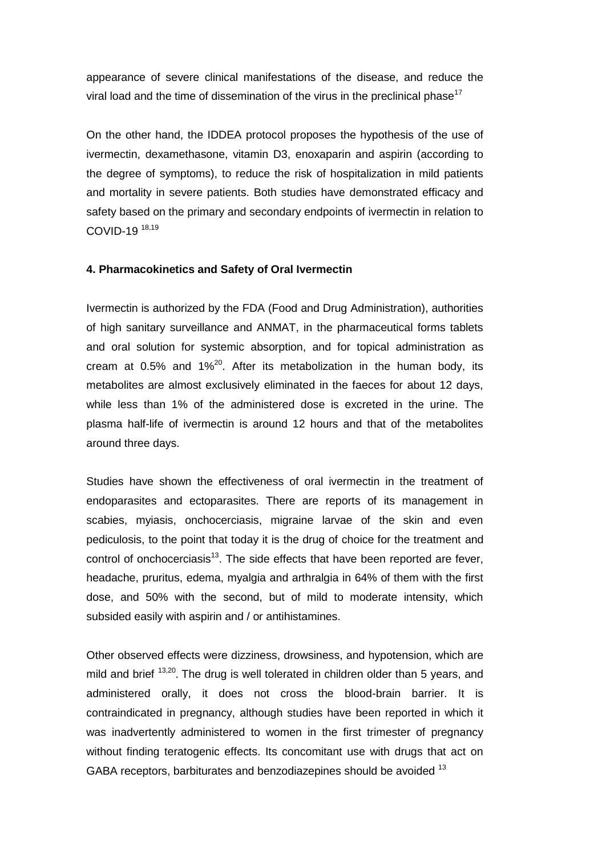appearance of severe clinical manifestations of the disease, and reduce the viral load and the time of dissemination of the virus in the preclinical phase<sup>17</sup>

On the other hand, the IDDEA protocol proposes the hypothesis of the use of ivermectin, dexamethasone, vitamin D3, enoxaparin and aspirin (according to the degree of symptoms), to reduce the risk of hospitalization in mild patients and mortality in severe patients. Both studies have demonstrated efficacy and safety based on the primary and secondary endpoints of ivermectin in relation to COVID-19 18,19

#### **4. Pharmacokinetics and Safety of Oral Ivermectin**

Ivermectin is authorized by the FDA (Food and Drug Administration), authorities of high sanitary surveillance and ANMAT, in the pharmaceutical forms tablets and oral solution for systemic absorption, and for topical administration as cream at 0.5% and  $1\%^{20}$ . After its metabolization in the human body, its metabolites are almost exclusively eliminated in the faeces for about 12 days, while less than 1% of the administered dose is excreted in the urine. The plasma half-life of ivermectin is around 12 hours and that of the metabolites around three days.

Studies have shown the effectiveness of oral ivermectin in the treatment of endoparasites and ectoparasites. There are reports of its management in scabies, myiasis, onchocerciasis, migraine larvae of the skin and even pediculosis, to the point that today it is the drug of choice for the treatment and control of onchocerciasis<sup>13</sup>. The side effects that have been reported are fever, headache, pruritus, edema, myalgia and arthralgia in 64% of them with the first dose, and 50% with the second, but of mild to moderate intensity, which subsided easily with aspirin and / or antihistamines.

Other observed effects were dizziness, drowsiness, and hypotension, which are mild and brief <sup>13,20</sup>. The drug is well tolerated in children older than 5 years, and administered orally, it does not cross the blood-brain barrier. It is contraindicated in pregnancy, although studies have been reported in which it was inadvertently administered to women in the first trimester of pregnancy without finding teratogenic effects. Its concomitant use with drugs that act on GABA receptors, barbiturates and benzodiazepines should be avoided <sup>13</sup>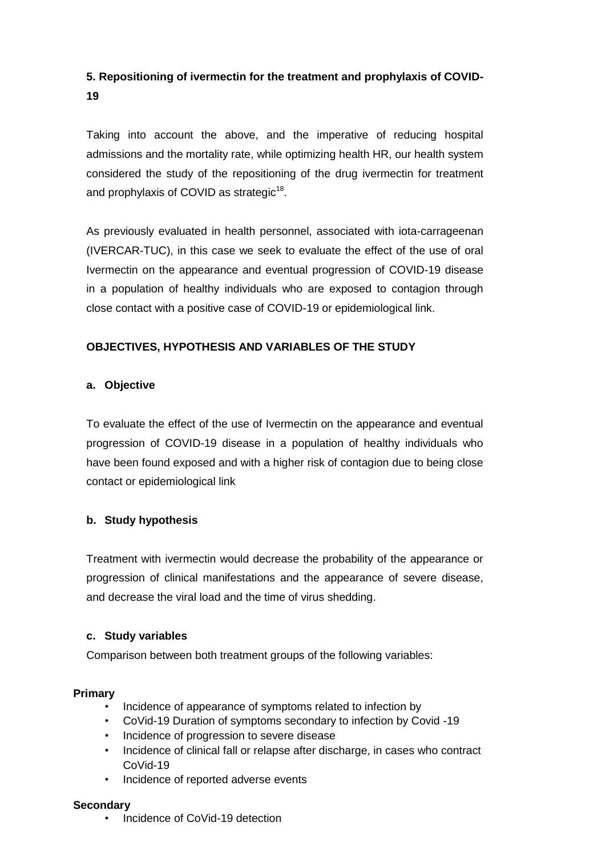# **5. Repositioning of ivermectin for the treatment and prophylaxis of COVID-19**

Taking into account the above, and the imperative of reducing hospital admissions and the mortality rate, while optimizing health HR, our health system considered the study of the repositioning of the drug ivermectin for treatment and prophylaxis of COVID as strategic<sup>18</sup>.

As previously evaluated in health personnel, associated with iota-carrageenan (IVERCAR-TUC), in this case we seek to evaluate the effect of the use of oral Ivermectin on the appearance and eventual progression of COVID-19 disease in a population of healthy individuals who are exposed to contagion through close contact with a positive case of COVID-19 or epidemiological link.

# **OBJECTIVES, HYPOTHESIS AND VARIABLES OF THE STUDY**

# **a. Objective**

To evaluate the effect of the use of Ivermectin on the appearance and eventual progression of COVID-19 disease in a population of healthy individuals who have been found exposed and with a higher risk of contagion due to being close contact or epidemiological link

# **b. Study hypothesis**

Treatment with ivermectin would decrease the probability of the appearance or progression of clinical manifestations and the appearance of severe disease, and decrease the viral load and the time of virus shedding.

# **c. Study variables**

Comparison between both treatment groups of the following variables:

# **Primary**

- Incidence of appearance of symptoms related to infection by
- CoVid-19 Duration of symptoms secondary to infection by Covid -19
- Incidence of progression to severe disease
- Incidence of clinical fall or relapse after discharge, in cases who contract CoVid-19
- Incidence of reported adverse events

# **Secondary**

• Incidence of CoVid-19 detection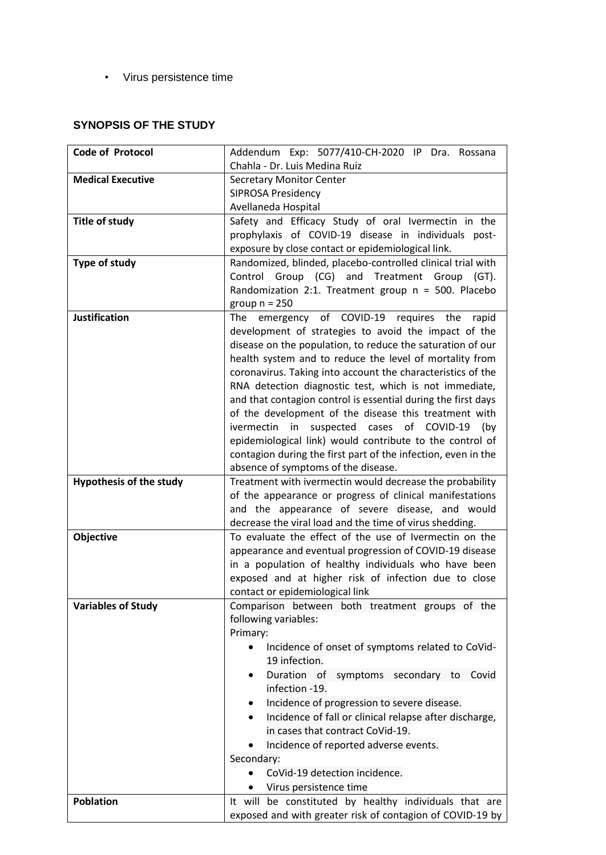• Virus persistence time

# **SYNOPSIS OF THE STUDY**

| <b>Code of Protocol</b>        | Addendum Exp: 5077/410-CH-2020 IP Dra. Rossana                                                                        |
|--------------------------------|-----------------------------------------------------------------------------------------------------------------------|
|                                | Chahla - Dr. Luis Medina Ruiz                                                                                         |
| <b>Medical Executive</b>       | <b>Secretary Monitor Center</b>                                                                                       |
|                                | <b>SIPROSA Presidency</b>                                                                                             |
|                                | Avellaneda Hospital                                                                                                   |
| <b>Title of study</b>          | Safety and Efficacy Study of oral Ivermectin in the                                                                   |
|                                | prophylaxis of COVID-19 disease in individuals post-                                                                  |
|                                | exposure by close contact or epidemiological link.                                                                    |
| Type of study                  | Randomized, blinded, placebo-controlled clinical trial with                                                           |
|                                | Control Group (CG) and Treatment Group (GT).                                                                          |
|                                | Randomization 2:1. Treatment group n = 500. Placebo                                                                   |
|                                | group $n = 250$                                                                                                       |
| <b>Justification</b>           | emergency of COVID-19 requires the<br>The<br>rapid                                                                    |
|                                | development of strategies to avoid the impact of the                                                                  |
|                                | disease on the population, to reduce the saturation of our                                                            |
|                                | health system and to reduce the level of mortality from                                                               |
|                                | coronavirus. Taking into account the characteristics of the<br>RNA detection diagnostic test, which is not immediate, |
|                                | and that contagion control is essential during the first days                                                         |
|                                | of the development of the disease this treatment with                                                                 |
|                                | ivermectin<br>in<br>suspected<br>cases<br>of COVID-19<br>(by                                                          |
|                                | epidemiological link) would contribute to the control of                                                              |
|                                | contagion during the first part of the infection, even in the                                                         |
|                                | absence of symptoms of the disease.                                                                                   |
| <b>Hypothesis of the study</b> | Treatment with ivermectin would decrease the probability                                                              |
|                                | of the appearance or progress of clinical manifestations                                                              |
|                                | and the appearance of severe disease, and would                                                                       |
|                                | decrease the viral load and the time of virus shedding.                                                               |
| Objective                      | To evaluate the effect of the use of Ivermectin on the                                                                |
|                                | appearance and eventual progression of COVID-19 disease                                                               |
|                                | in a population of healthy individuals who have been                                                                  |
|                                | exposed and at higher risk of infection due to close                                                                  |
|                                | contact or epidemiological link                                                                                       |
| <b>Variables of Study</b>      | Comparison between both treatment groups of the                                                                       |
|                                | following variables:<br>Primary:                                                                                      |
|                                | Incidence of onset of symptoms related to CoVid-<br>$\bullet$                                                         |
|                                | 19 infection.                                                                                                         |
|                                | Duration of symptoms secondary to<br>Covid                                                                            |
|                                | infection -19.                                                                                                        |
|                                | Incidence of progression to severe disease.<br>$\bullet$                                                              |
|                                | Incidence of fall or clinical relapse after discharge,                                                                |
|                                | in cases that contract CoVid-19.                                                                                      |
|                                | Incidence of reported adverse events.                                                                                 |
|                                | Secondary:                                                                                                            |
|                                | CoVid-19 detection incidence.                                                                                         |
|                                | Virus persistence time<br>$\bullet$                                                                                   |
| <b>Poblation</b>               | It will be constituted by healthy individuals that are                                                                |
|                                | exposed and with greater risk of contagion of COVID-19 by                                                             |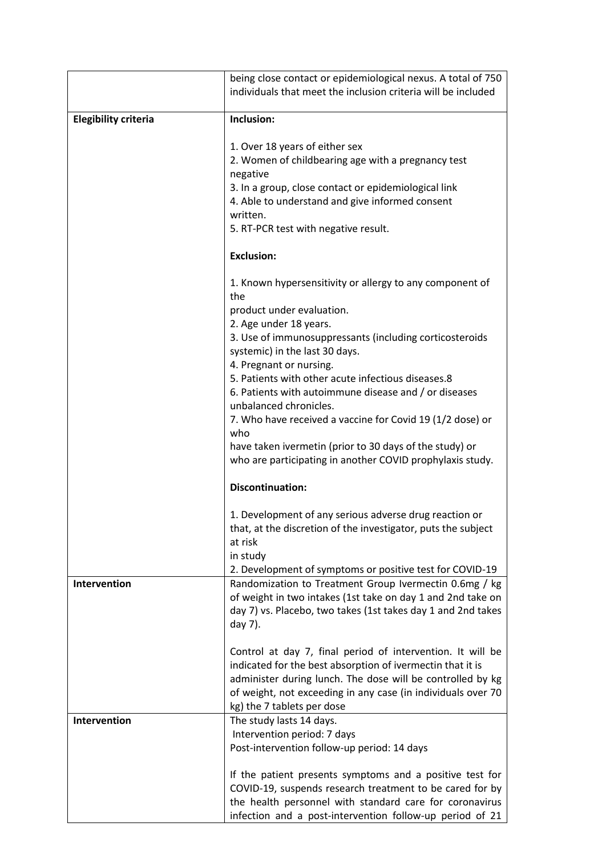|                             | being close contact or epidemiological nexus. A total of 750<br>individuals that meet the inclusion criteria will be included                                                                                                                                                        |
|-----------------------------|--------------------------------------------------------------------------------------------------------------------------------------------------------------------------------------------------------------------------------------------------------------------------------------|
| <b>Elegibility criteria</b> | Inclusion:                                                                                                                                                                                                                                                                           |
|                             | 1. Over 18 years of either sex<br>2. Women of childbearing age with a pregnancy test<br>negative<br>3. In a group, close contact or epidemiological link<br>4. Able to understand and give informed consent<br>written.<br>5. RT-PCR test with negative result.                      |
|                             | <b>Exclusion:</b>                                                                                                                                                                                                                                                                    |
|                             | 1. Known hypersensitivity or allergy to any component of<br>the<br>product under evaluation.<br>2. Age under 18 years.<br>3. Use of immunosuppressants (including corticosteroids                                                                                                    |
|                             | systemic) in the last 30 days.<br>4. Pregnant or nursing.<br>5. Patients with other acute infectious diseases.8<br>6. Patients with autoimmune disease and / or diseases<br>unbalanced chronicles.                                                                                   |
|                             | 7. Who have received a vaccine for Covid 19 (1/2 dose) or<br>who<br>have taken ivermetin (prior to 30 days of the study) or<br>who are participating in another COVID prophylaxis study.                                                                                             |
|                             | <b>Discontinuation:</b>                                                                                                                                                                                                                                                              |
|                             | 1. Development of any serious adverse drug reaction or<br>that, at the discretion of the investigator, puts the subject<br>at risk<br>in study                                                                                                                                       |
| Intervention                | 2. Development of symptoms or positive test for COVID-19<br>Randomization to Treatment Group Ivermectin 0.6mg / kg<br>of weight in two intakes (1st take on day 1 and 2nd take on<br>day 7) vs. Placebo, two takes (1st takes day 1 and 2nd takes<br>day 7).                         |
|                             | Control at day 7, final period of intervention. It will be<br>indicated for the best absorption of ivermectin that it is<br>administer during lunch. The dose will be controlled by kg<br>of weight, not exceeding in any case (in individuals over 70<br>kg) the 7 tablets per dose |
| Intervention                | The study lasts 14 days.<br>Intervention period: 7 days<br>Post-intervention follow-up period: 14 days                                                                                                                                                                               |
|                             | If the patient presents symptoms and a positive test for<br>COVID-19, suspends research treatment to be cared for by<br>the health personnel with standard care for coronavirus<br>infection and a post-intervention follow-up period of 21                                          |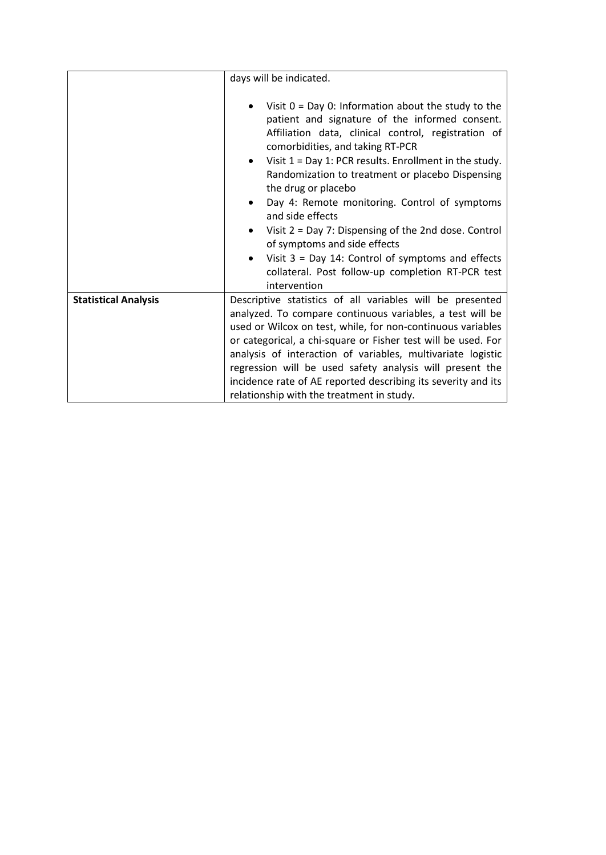|                             | days will be indicated.                                                                                                                                                                                                                                                                                                                                                                                                                                                                                                                                             |
|-----------------------------|---------------------------------------------------------------------------------------------------------------------------------------------------------------------------------------------------------------------------------------------------------------------------------------------------------------------------------------------------------------------------------------------------------------------------------------------------------------------------------------------------------------------------------------------------------------------|
|                             | Visit $0 = Day 0$ : Information about the study to the<br>patient and signature of the informed consent.<br>Affiliation data, clinical control, registration of<br>comorbidities, and taking RT-PCR<br>Visit $1 = Day 1$ : PCR results. Enrollment in the study.<br>Randomization to treatment or placebo Dispensing<br>the drug or placebo<br>Day 4: Remote monitoring. Control of symptoms<br>and side effects<br>Visit $2 = Day 7$ : Dispensing of the 2nd dose. Control<br>of symptoms and side effects<br>Visit $3 = Day 14$ : Control of symptoms and effects |
|                             | collateral. Post follow-up completion RT-PCR test<br>intervention                                                                                                                                                                                                                                                                                                                                                                                                                                                                                                   |
| <b>Statistical Analysis</b> | Descriptive statistics of all variables will be presented<br>analyzed. To compare continuous variables, a test will be<br>used or Wilcox on test, while, for non-continuous variables<br>or categorical, a chi-square or Fisher test will be used. For<br>analysis of interaction of variables, multivariate logistic<br>regression will be used safety analysis will present the<br>incidence rate of AE reported describing its severity and its<br>relationship with the treatment in study.                                                                     |